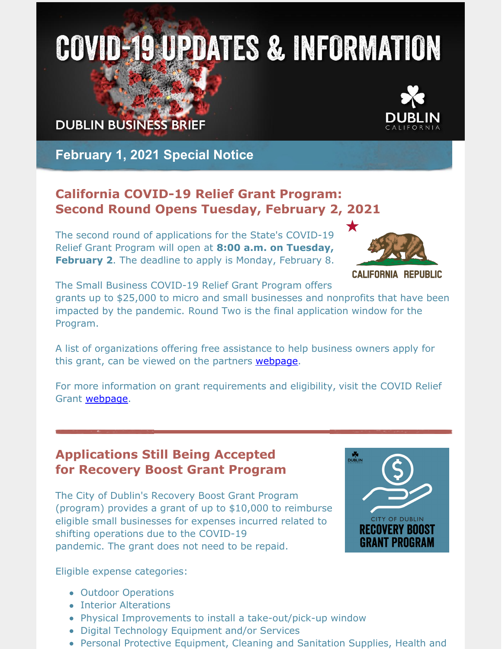# **COVID-19 UPDATES & INFORMATION**

**DUBLIN BUSINESS BRIEF** 



**February 1, 2021 Special Notice**

# **California COVID-19 Relief Grant Program: Second Round Opens Tuesday, February 2, 2021**

The second round of applications for the State's COVID-19 Relief Grant Program will open at **8:00 a.m. on Tuesday, February 2**. The deadline to apply is Monday, February 8.



**CALIFORNIA REPUBLIC** 

The Small Business COVID-19 Relief Grant Program offers

grants up to \$25,000 to micro and small businesses and nonprofits that have been impacted by the pandemic. Round Two is the final application window for the Program.

A list of organizations offering free assistance to help business owners apply for this grant, can be viewed on the partners [webpage](https://careliefgrant.com/partner/alameda/).

For more information on grant requirements and eligibility, visit the COVID Relief Grant **[webpage](https://www.californiasbdc.org/covid-19-relief-grant)**.

# **Applications Still Being Accepted for Recovery Boost Grant Program**

The City of Dublin's Recovery Boost Grant Program (program) provides a grant of up to \$10,000 to reimburse eligible small businesses for expenses incurred related to shifting operations due to the COVID-19 pandemic. The grant does not need to be repaid.



Eligible expense categories:

- Outdoor Operations
- Interior Alterations
- Physical Improvements to install a take-out/pick-up window
- Digital Technology Equipment and/or Services
- Personal Protective Equipment, Cleaning and Sanitation Supplies, Health and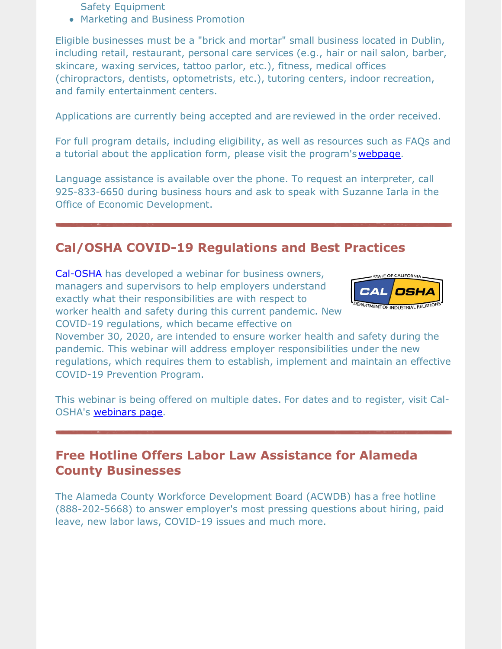- Safety Equipment
- Marketing and Business Promotion

Eligible businesses must be a "brick and mortar" small business located in Dublin, including retail, restaurant, personal care services (e.g., hair or nail salon, barber, skincare, waxing services, tattoo parlor, etc.), fitness, medical offices (chiropractors, dentists, optometrists, etc.), tutoring centers, indoor recreation, and family entertainment centers.

Applications are currently being accepted and are reviewed in the order received.

For full program details, including eligibility, as well as resources such as FAQs and a tutorial about the application form, please visit the program's [webpage](https://dublin.ca.gov/recoveryboostgrant).

Language assistance is available over the phone. To request an interpreter, call 925-833-6650 during business hours and ask to speak with Suzanne Iarla in the Office of Economic Development.

# **Cal/OSHA COVID-19 Regulations and Best Practices**

[Cal-OSHA](https://www.dir.ca.gov/dosh/coronavirus/) has developed a webinar for business owners, managers and supervisors to help employers understand exactly what their responsibilities are with respect to worker health and safety during this current pandemic. New COVID-19 regulations, which became effective on



November 30, 2020, are intended to ensure worker health and safety during the pandemic. This webinar will address employer responsibilities under the new regulations, which requires them to establish, implement and maintain an effective COVID-19 Prevention Program.

This webinar is being offered on multiple dates. For dates and to register, visit Cal-OSHA's [webinars](https://www.dir.ca.gov/dosh/coronavirus/Webinars.html) page.

### **Free Hotline Offers Labor Law Assistance for Alameda County Businesses**

The Alameda County Workforce Development Board (ACWDB) has a free hotline (888-202-5668) to answer employer's most pressing questions about hiring, paid leave, new labor laws, COVID-19 issues and much more.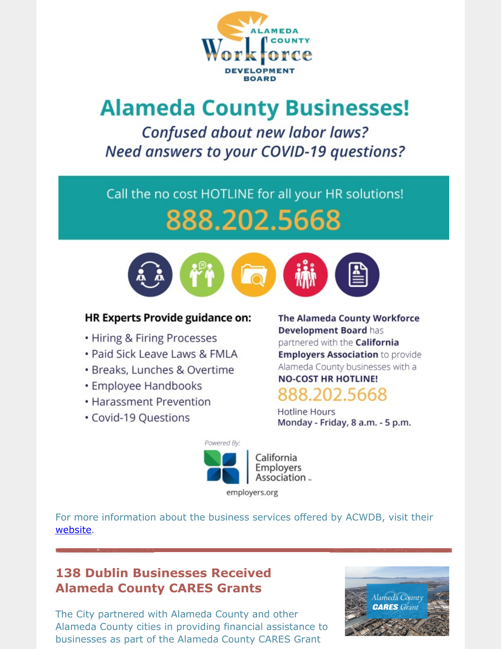

# **Alameda County Businesses!**

Confused about new labor laws? Need answers to your COVID-19 questions?

# Call the no cost HOTLINE for all your HR solutions! 888.202.5668



#### **HR Experts Provide guidance on:**

- Hiring & Firing Processes
- · Paid Sick Leave Laws & FMLA
- · Breaks, Lunches & Overtime
- Employee Handbooks
- Harassment Prevention
- Covid-19 Questions

#### The Alameda County Workforce Development Board has

partnered with the California **Employers Association to provide** Alameda County businesses with a

# **NO-COST HR HOTLINE!** 888.202.5668

**Hotline Hours** Monday - Friday, 8 a.m. - 5 p.m.



For more information about the business services offered by ACWDB, visit their <u>website</u>.

# **138 Dublin Businesses Received Alameda County CARES Grants**

The City partnered with Alameda County and other Alameda County cities in providing financial assistance to businesses as part of the Alameda County CARES Grant